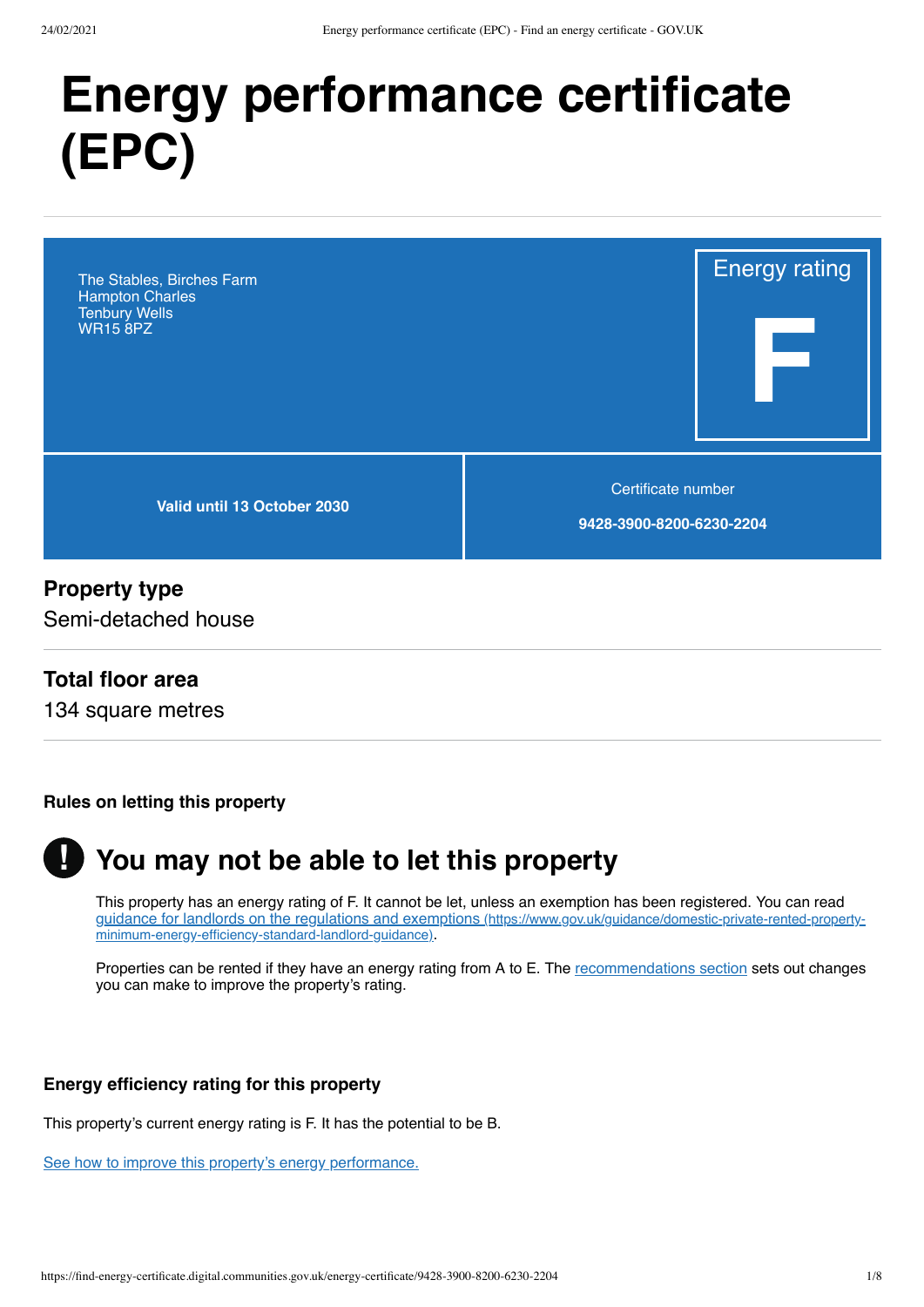# **Energy performance certificate (EPC)**

The Stables, Birches Farm Hampton Charles Tenbury Wells WR15 8PZ

**Valid until 13 October 2030**

Certificate number

Energy rating

**F**

**9428-3900-8200-6230-2204**

#### **Property type**

Semi-detached house

## **Total floor area**

134 square metres

#### **Rules on letting this property**



# **You may not be able to let this property**

This property has an energy rating of F. It cannot be let, unless an exemption has been registered. You can read [guidance for landlords on the regulations and exemptions](https://www.gov.uk/guidance/domestic-private-rented-property-minimum-energy-efficiency-standard-landlord-guidance) (https://www.gov.uk/guidance/domestic-private-rented-propertyminimum-energy-efficiency-standard-landlord-guidance).

Properties can be rented if they have an energy rating from A to E. The [recommendations section](#page-3-0) sets out changes you can make to improve the property's rating.

#### **Energy efficiency rating for this property**

This property's current energy rating is F. It has the potential to be B.

[See how to improve this property's energy performance.](#page-3-0)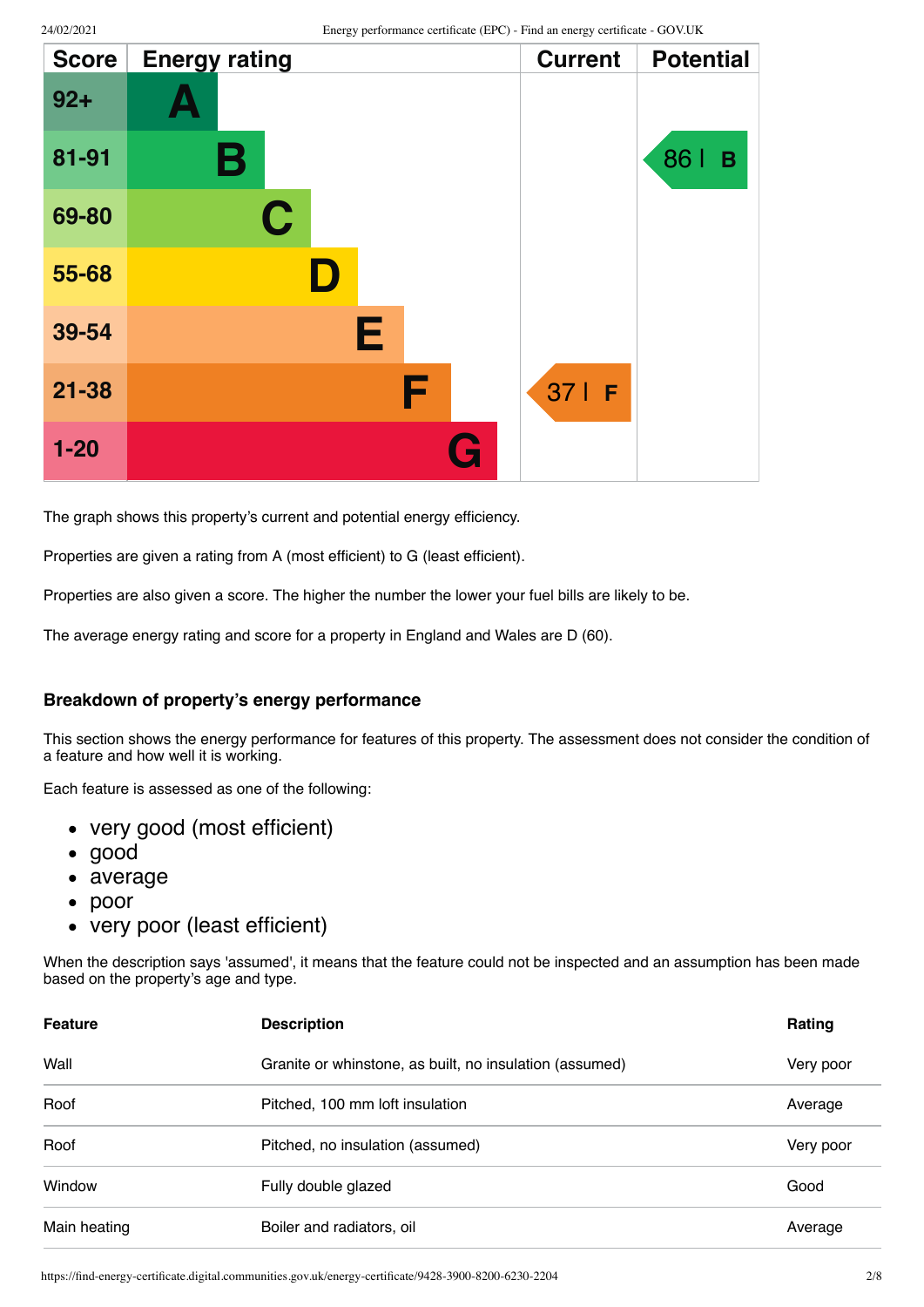| <b>Score</b> | <b>Energy rating</b> | <b>Current</b> | <b>Potential</b> |
|--------------|----------------------|----------------|------------------|
| $92 +$       |                      |                |                  |
| 81-91        | В                    |                | 86  <br>B        |
| 69-80        | C                    |                |                  |
| 55-68        | D                    |                |                  |
| 39-54        | Е                    |                |                  |
| $21 - 38$    | F                    | 371F           |                  |
| $1 - 20$     | G                    |                |                  |

The graph shows this property's current and potential energy efficiency.

Properties are given a rating from A (most efficient) to G (least efficient).

Properties are also given a score. The higher the number the lower your fuel bills are likely to be.

The average energy rating and score for a property in England and Wales are D (60).

#### **Breakdown of property's energy performance**

This section shows the energy performance for features of this property. The assessment does not consider the condition of a feature and how well it is working.

Each feature is assessed as one of the following:

- very good (most efficient)
- good
- average
- $\bullet$ poor
- very poor (least efficient)

When the description says 'assumed', it means that the feature could not be inspected and an assumption has been made based on the property's age and type.

| <b>Feature</b> | <b>Description</b>                                      | Rating    |
|----------------|---------------------------------------------------------|-----------|
| Wall           | Granite or whinstone, as built, no insulation (assumed) | Very poor |
| Roof           | Pitched, 100 mm loft insulation                         | Average   |
| Roof           | Pitched, no insulation (assumed)                        | Very poor |
| Window         | Fully double glazed                                     | Good      |
| Main heating   | Boiler and radiators, oil                               | Average   |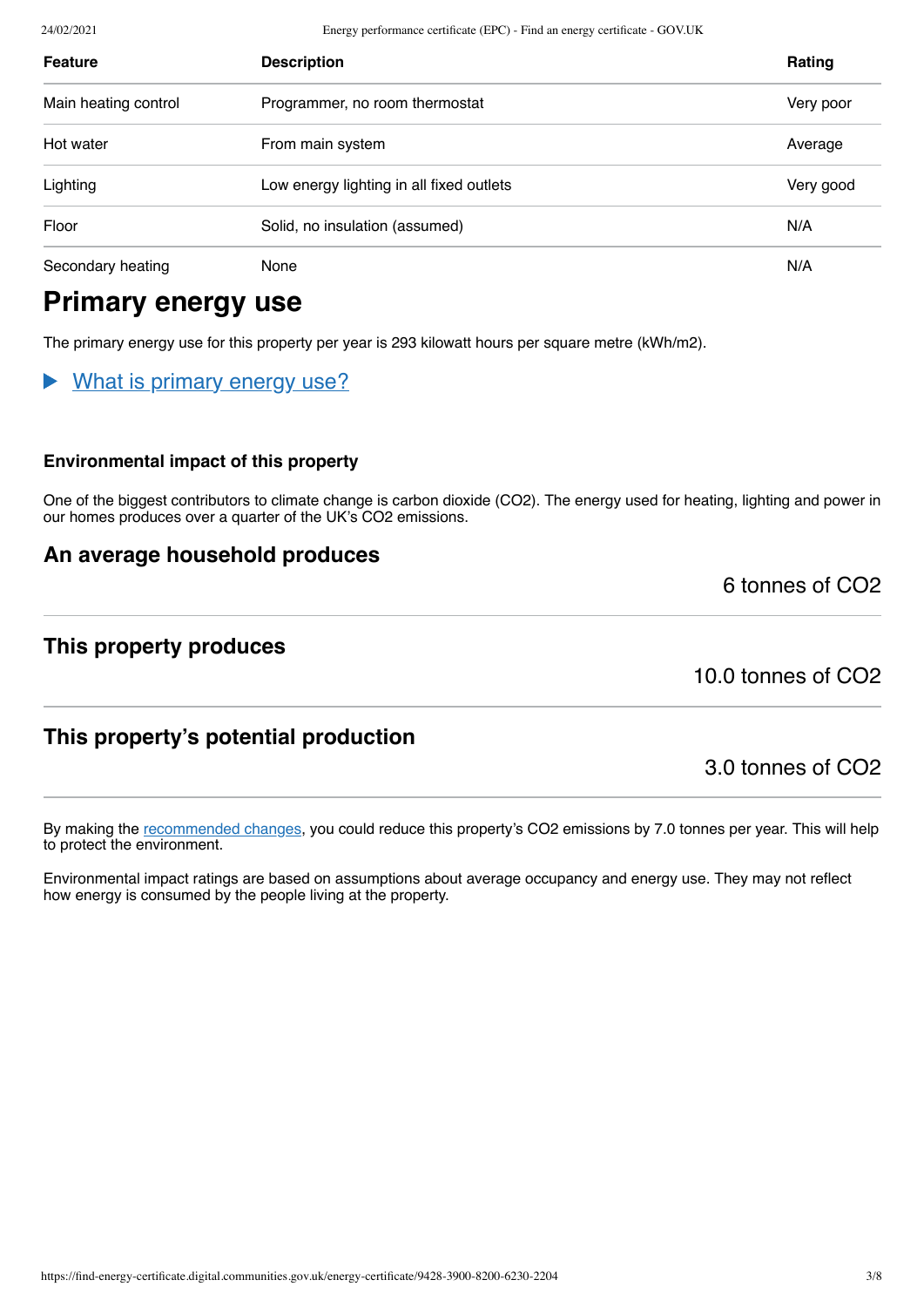24/02/2021 Energy performance certificate (EPC) - Find an energy certificate - GOV.UK

| <b>Feature</b>       | <b>Description</b>                                    | Rating    |
|----------------------|-------------------------------------------------------|-----------|
| Main heating control | Programmer, no room thermostat                        | Very poor |
| Hot water            | From main system                                      | Average   |
| Lighting             | Low energy lighting in all fixed outlets<br>Very good |           |
| Floor                | N/A<br>Solid, no insulation (assumed)                 |           |
| Secondary heating    | None                                                  |           |

# **Primary energy use**

The primary energy use for this property per year is 293 kilowatt hours per square metre (kWh/m2).

#### What is primary energy use?

#### **Environmental impact of this property**

One of the biggest contributors to climate change is carbon dioxide (CO2). The energy used for heating, lighting and power in our homes produces over a quarter of the UK's CO2 emissions.

## **An average household produces**

**This property produces**

10.0 tonnes of CO2

6 tonnes of CO2

# **This property's potential production**

3.0 tonnes of CO2

By making the [recommended changes](#page-3-0), you could reduce this property's CO2 emissions by 7.0 tonnes per year. This will help to protect the environment.

Environmental impact ratings are based on assumptions about average occupancy and energy use. They may not reflect how energy is consumed by the people living at the property.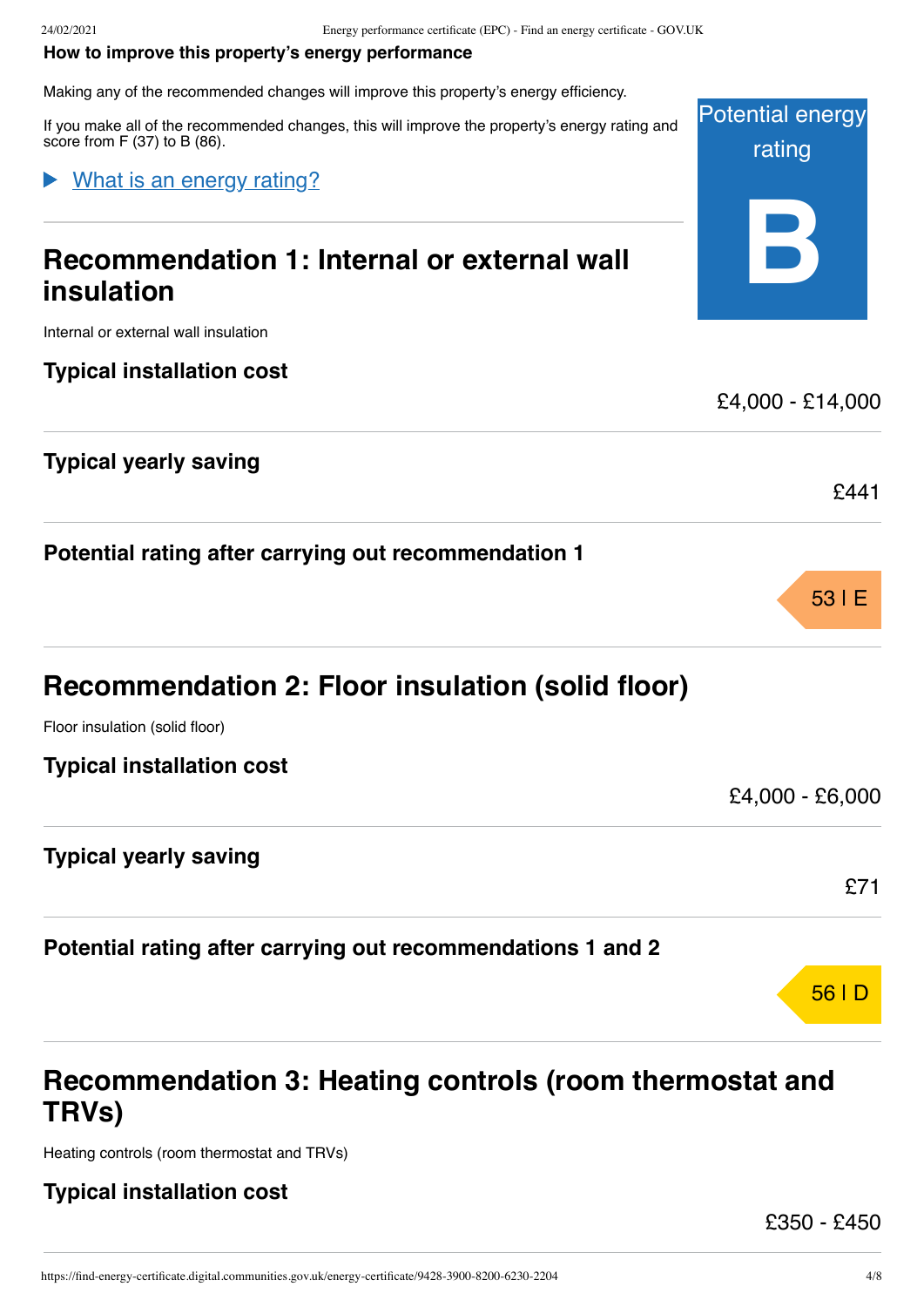#### <span id="page-3-0"></span>**How to improve this property's energy performance**

Making any of the recommended changes will improve this property's energy efficiency.

If you make all of the recommended changes, this will improve the property's energy rating and score from F (37) to B (86).

## What is an energy rating?

# **Recommendation 1: Internal or external wall insulation**

Internal or external wall insulation

# **Typical installation cost**

# **Typical yearly saving**

**Potential rating after carrying out recommendation 1**

Floor insulation (solid floor)

## **Typical yearly saving**

**Potential rating after carrying out recommendations 1 and 2**

# **Recommendation 3: Heating controls (room thermostat and TRVs)**

Heating controls (room thermostat and TRVs)

# **Typical installation cost**

£350 - £450



£4,000 - £14,000

£441

53 |E

£4,000 - £6,000

£71

56 |D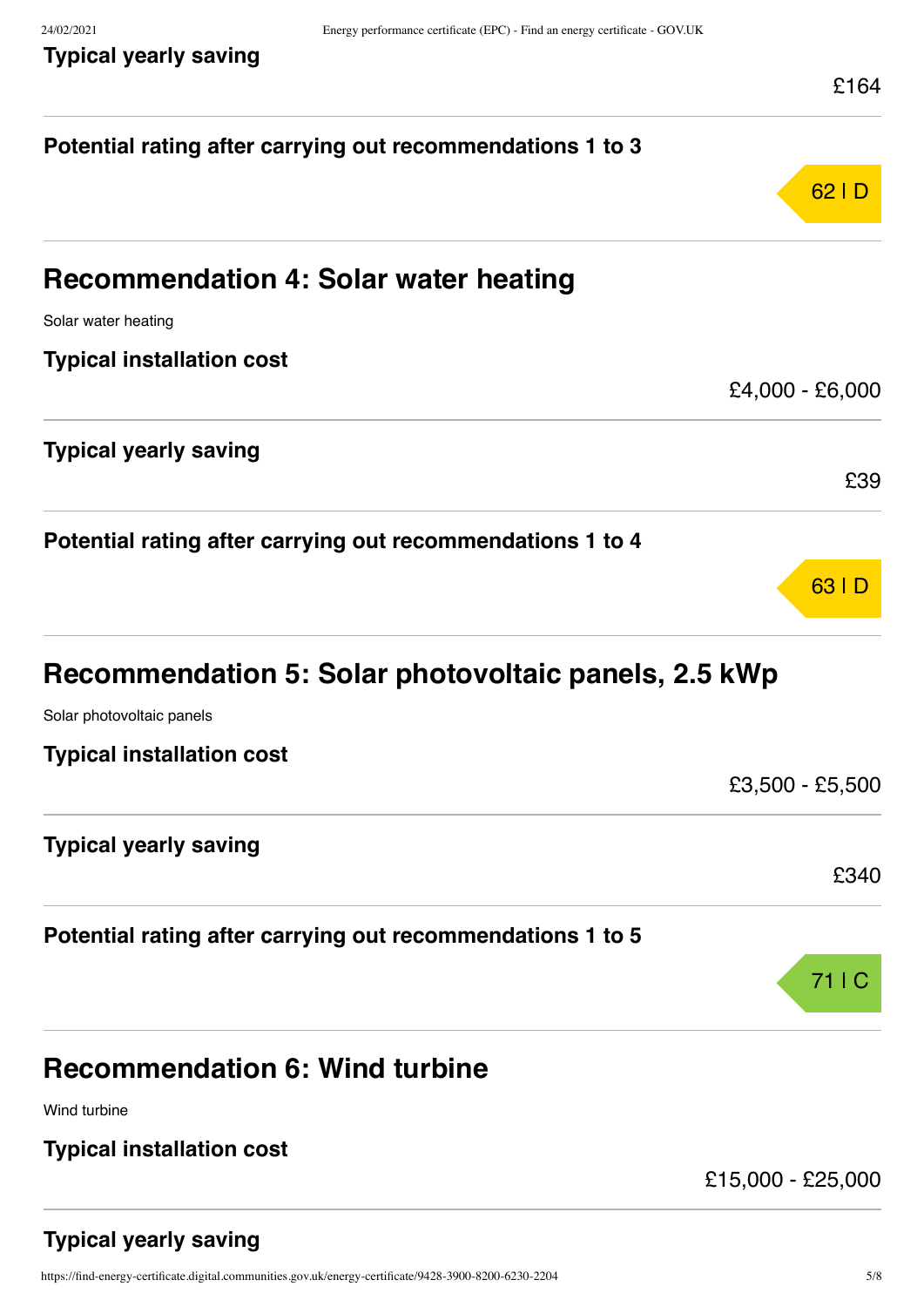|  | Typical yearly saving |
|--|-----------------------|
|  |                       |

|                                                            | L I 04            |
|------------------------------------------------------------|-------------------|
| Potential rating after carrying out recommendations 1 to 3 |                   |
|                                                            | 62 D              |
| <b>Recommendation 4: Solar water heating</b>               |                   |
| Solar water heating                                        |                   |
| <b>Typical installation cost</b>                           |                   |
|                                                            | £4,000 - £6,000   |
| <b>Typical yearly saving</b>                               | £39               |
|                                                            |                   |
| Potential rating after carrying out recommendations 1 to 4 |                   |
|                                                            | 63   D            |
| Recommendation 5: Solar photovoltaic panels, 2.5 kWp       |                   |
| Solar photovoltaic panels                                  |                   |
| <b>Typical installation cost</b>                           |                   |
|                                                            | £3,500 - £5,500   |
| <b>Typical yearly saving</b>                               |                   |
|                                                            | £340              |
| Potential rating after carrying out recommendations 1 to 5 |                   |
|                                                            | 71   C            |
| <b>Recommendation 6: Wind turbine</b>                      |                   |
| Wind turbine                                               |                   |
| <b>Typical installation cost</b>                           |                   |
|                                                            | £15,000 - £25,000 |

# **Typical yearly saving**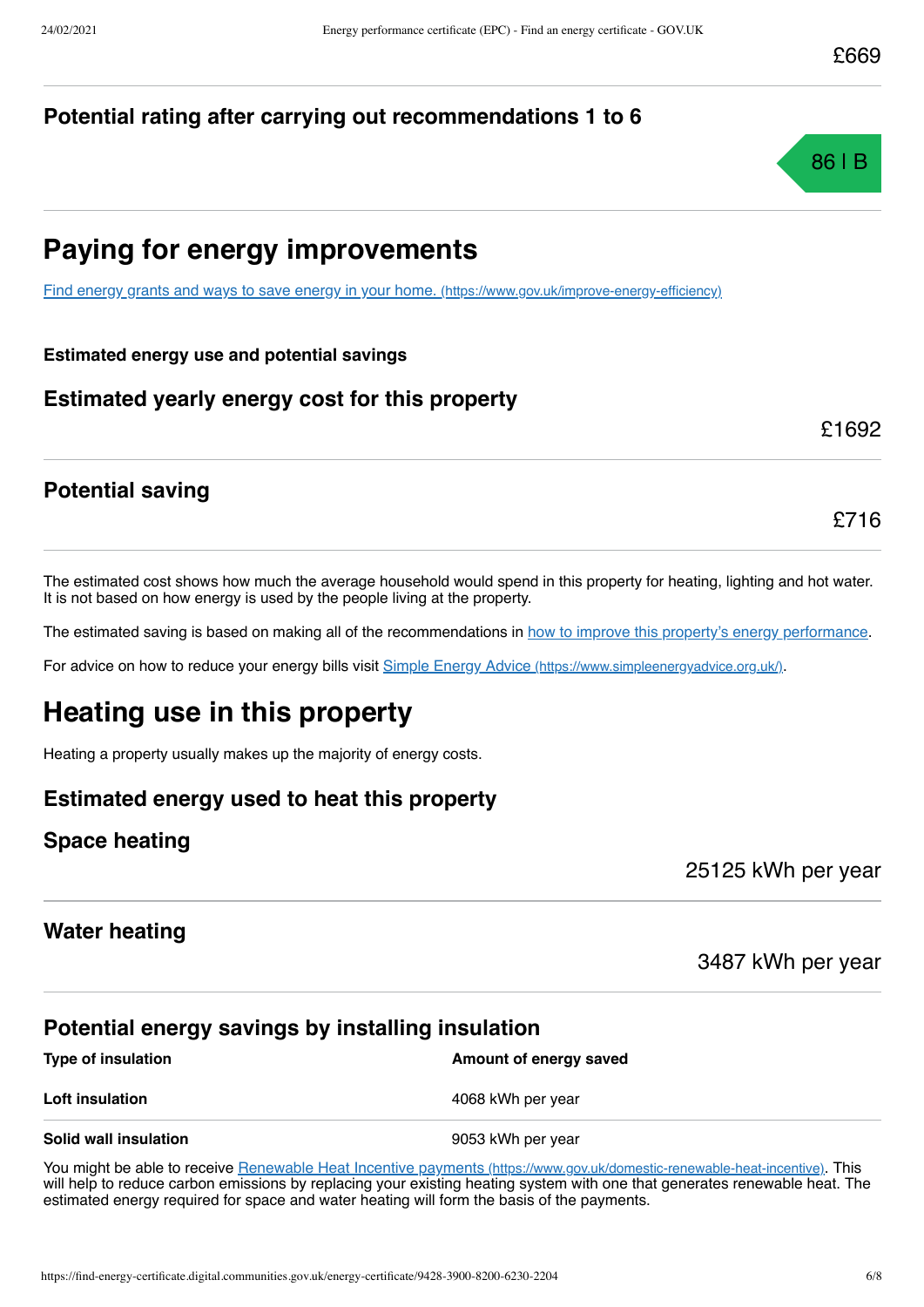# **Potential rating after carrying out recommendations 1 to 6**



# **Paying for energy improvements**

[Find energy grants and ways to save energy in your home.](https://www.gov.uk/improve-energy-efficiency) (https://www.gov.uk/improve-energy-efficiency)

#### **Estimated energy use and potential savings**

## **Estimated yearly energy cost for this property**

£1692

£716

# **Potential saving**

The estimated cost shows how much the average household would spend in this property for heating, lighting and hot water. It is not based on how energy is used by the people living at the property.

The estimated saving is based on making all of the recommendations in [how to improve this property's energy performance.](#page-3-0)

For advice on how to reduce your energy bills visit Simple Energy Advice [\(https://www.simpleenergyadvice.org.uk/\)](https://www.simpleenergyadvice.org.uk/).

# **Heating use in this property**

Heating a property usually makes up the majority of energy costs.

## **Estimated energy used to heat this property**

#### **Space heating**

25125 kWh per year

## **Water heating**

3487 kWh per year

## **Potential energy savings by installing insulation**

| Type of insulation    | Amount of energy saved |
|-----------------------|------------------------|
| Loft insulation       | 4068 kWh per year      |
| Solid wall insulation | 9053 kWh per year      |

You might be able to receive Renewable Heat Incentive payments [\(https://www.gov.uk/domestic-renewable-heat-incentive\)](https://www.gov.uk/domestic-renewable-heat-incentive). This will help to reduce carbon emissions by replacing your existing heating system with one that generates renewable heat. The estimated energy required for space and water heating will form the basis of the payments.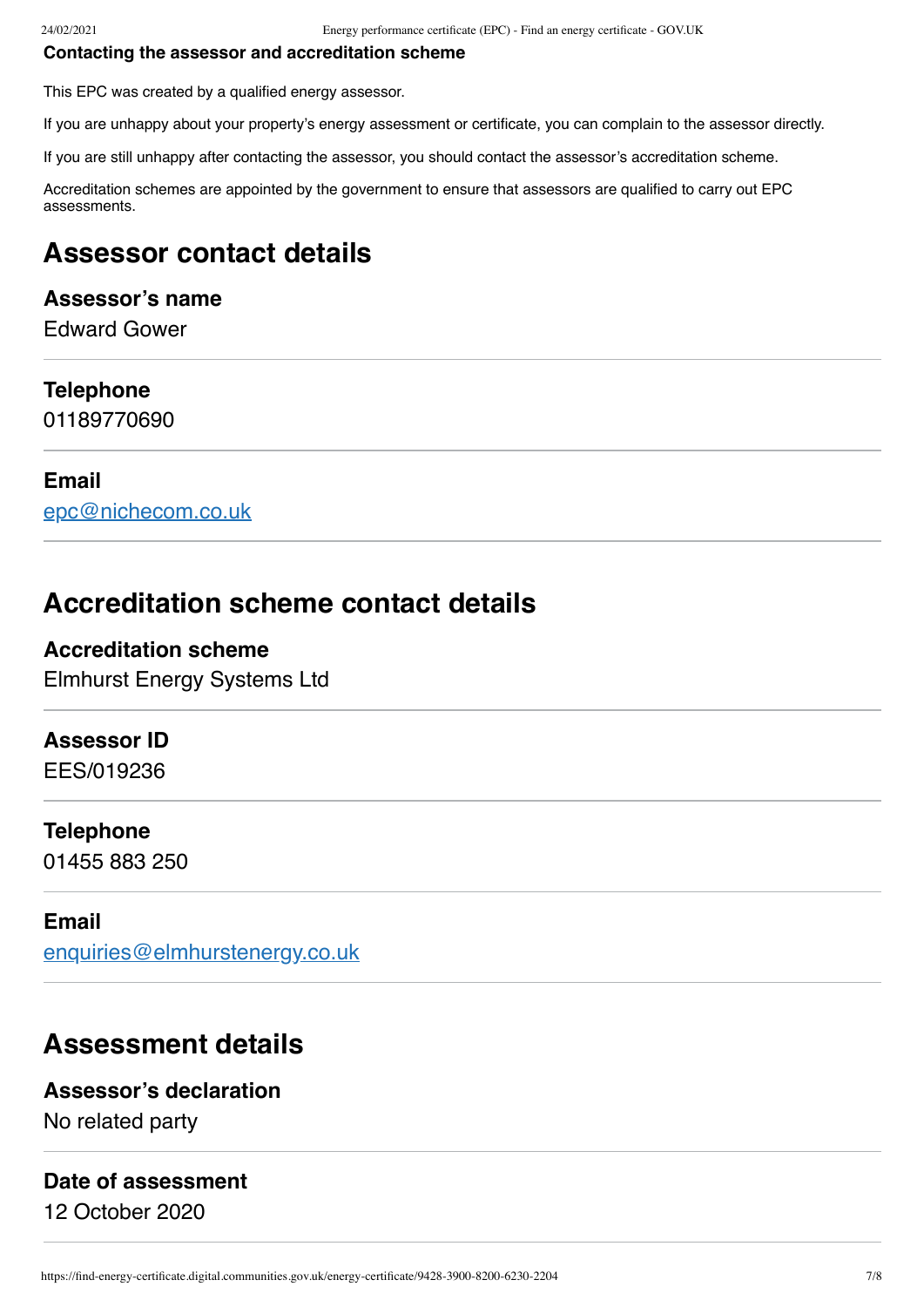#### **Contacting the assessor and accreditation scheme**

This EPC was created by a qualified energy assessor.

If you are unhappy about your property's energy assessment or certificate, you can complain to the assessor directly.

If you are still unhappy after contacting the assessor, you should contact the assessor's accreditation scheme.

Accreditation schemes are appointed by the government to ensure that assessors are qualified to carry out EPC assessments.

# **Assessor contact details**

## **Assessor's name**

Edward Gower

#### **Telephone**

01189770690

#### **Email**

[epc@nichecom.co.uk](mailto:epc@nichecom.co.uk)

# **Accreditation scheme contact details**

# **Accreditation scheme** Elmhurst Energy Systems Ltd

#### **Assessor ID**

EES/019236

#### **Telephone**

01455 883 250

#### **Email**

[enquiries@elmhurstenergy.co.uk](mailto:enquiries@elmhurstenergy.co.uk)

# **Assessment details**

#### **Assessor's declaration**

No related party

#### **Date of assessment**

12 October 2020